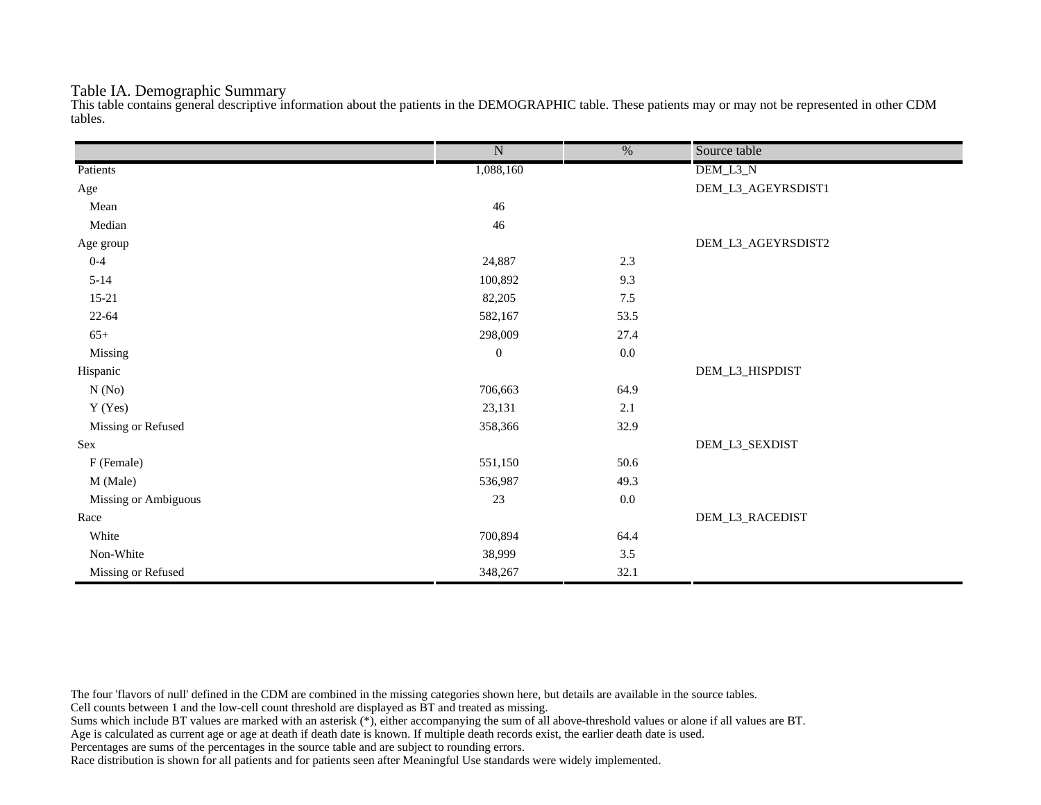#### Table IA. Demographic Summary

This table contains general descriptive information about the patients in the DEMOGRAPHIC table. These patients may or may not be represented in other CDM tables.

|                      | $\overline{\text{N}}$ | $\frac{0}{6}$ | Source table       |
|----------------------|-----------------------|---------------|--------------------|
| Patients             | 1,088,160             |               | DEM_L3_N           |
| Age                  |                       |               | DEM_L3_AGEYRSDIST1 |
| Mean                 | 46                    |               |                    |
| Median               | $46\,$                |               |                    |
| Age group            |                       |               | DEM_L3_AGEYRSDIST2 |
| $0 - 4$              | 24,887                | 2.3           |                    |
| $5 - 14$             | 100,892               | 9.3           |                    |
| $15 - 21$            | 82,205                | $7.5$         |                    |
| $22 - 64$            | 582,167               | 53.5          |                    |
| $65+$                | 298,009               | 27.4          |                    |
| Missing              | $\boldsymbol{0}$      | $0.0\,$       |                    |
| Hispanic             |                       |               | DEM_L3_HISPDIST    |
| N(No)                | 706,663               | 64.9          |                    |
| Y (Yes)              | 23,131                | 2.1           |                    |
| Missing or Refused   | 358,366               | 32.9          |                    |
| Sex                  |                       |               | DEM_L3_SEXDIST     |
| F (Female)           | 551,150               | 50.6          |                    |
| M (Male)             | 536,987               | 49.3          |                    |
| Missing or Ambiguous | $23\,$                | $0.0\,$       |                    |
| Race                 |                       |               | DEM_L3_RACEDIST    |
| White                | 700,894               | 64.4          |                    |
| Non-White            | 38,999                | $3.5$         |                    |
| Missing or Refused   | 348,267               | 32.1          |                    |

The four 'flavors of null' defined in the CDM are combined in the missing categories shown here, but details are available in the source tables.

Cell counts between 1 and the low-cell count threshold are displayed as BT and treated as missing.

Sums which include BT values are marked with an asterisk (\*), either accompanying the sum of all above-threshold values or alone if all values are BT.

Age is calculated as current age or age at death if death date is known. If multiple death records exist, the earlier death date is used.

Percentages are sums of the percentages in the source table and are subject to rounding errors.

Race distribution is shown for all patients and for patients seen after Meaningful Use standards were widely implemented.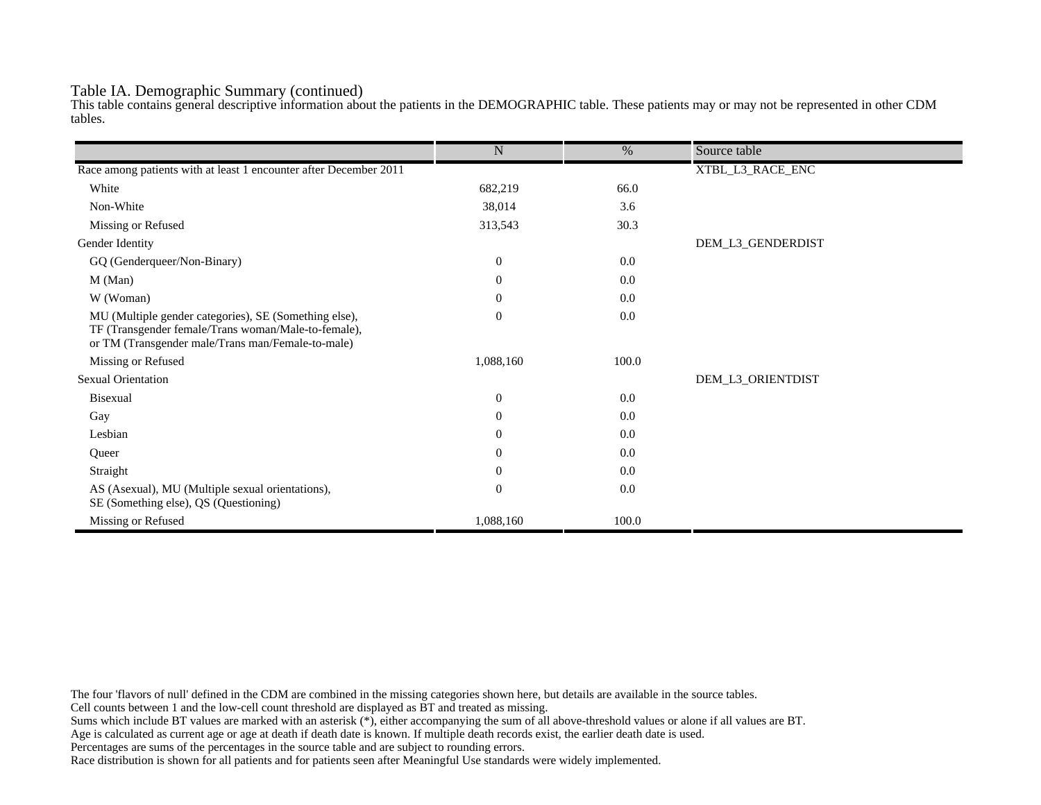#### Table IA. Demographic Summary (continued)

This table contains general descriptive information about the patients in the DEMOGRAPHIC table. These patients may or may not be represented in other CDM tables.

|                                                                                                                                                                   | $\mathbf N$      | %     | Source table      |
|-------------------------------------------------------------------------------------------------------------------------------------------------------------------|------------------|-------|-------------------|
|                                                                                                                                                                   |                  |       |                   |
| Race among patients with at least 1 encounter after December 2011                                                                                                 |                  |       | XTBL_L3_RACE_ENC  |
| White                                                                                                                                                             | 682,219          | 66.0  |                   |
| Non-White                                                                                                                                                         | 38,014           | 3.6   |                   |
| Missing or Refused                                                                                                                                                | 313,543          | 30.3  |                   |
| Gender Identity                                                                                                                                                   |                  |       | DEM_L3_GENDERDIST |
| GQ (Genderqueer/Non-Binary)                                                                                                                                       | $\overline{0}$   | 0.0   |                   |
| M (Man)                                                                                                                                                           | $\theta$         | 0.0   |                   |
| W (Woman)                                                                                                                                                         | $\boldsymbol{0}$ | 0.0   |                   |
| MU (Multiple gender categories), SE (Something else),<br>TF (Transgender female/Trans woman/Male-to-female),<br>or TM (Transgender male/Trans man/Female-to-male) | $\mathbf{0}$     | 0.0   |                   |
| Missing or Refused                                                                                                                                                | 1,088,160        | 100.0 |                   |
| <b>Sexual Orientation</b>                                                                                                                                         |                  |       | DEM_L3_ORIENTDIST |
| Bisexual                                                                                                                                                          | $\overline{0}$   | 0.0   |                   |
| Gay                                                                                                                                                               | $\overline{0}$   | 0.0   |                   |
| Lesbian                                                                                                                                                           | $\overline{0}$   | 0.0   |                   |
| Queer                                                                                                                                                             | $\overline{0}$   | 0.0   |                   |
| Straight                                                                                                                                                          | $\theta$         | 0.0   |                   |
| AS (Asexual), MU (Multiple sexual orientations),<br>SE (Something else), QS (Questioning)                                                                         | $\mathbf{0}$     | 0.0   |                   |
| Missing or Refused                                                                                                                                                | 1,088,160        | 100.0 |                   |

The four 'flavors of null' defined in the CDM are combined in the missing categories shown here, but details are available in the source tables.

Cell counts between 1 and the low-cell count threshold are displayed as BT and treated as missing.

Sums which include BT values are marked with an asterisk (\*), either accompanying the sum of all above-threshold values or alone if all values are BT.

Age is calculated as current age or age at death if death date is known. If multiple death records exist, the earlier death date is used.

Percentages are sums of the percentages in the source table and are subject to rounding errors.

Race distribution is shown for all patients and for patients seen after Meaningful Use standards were widely implemented.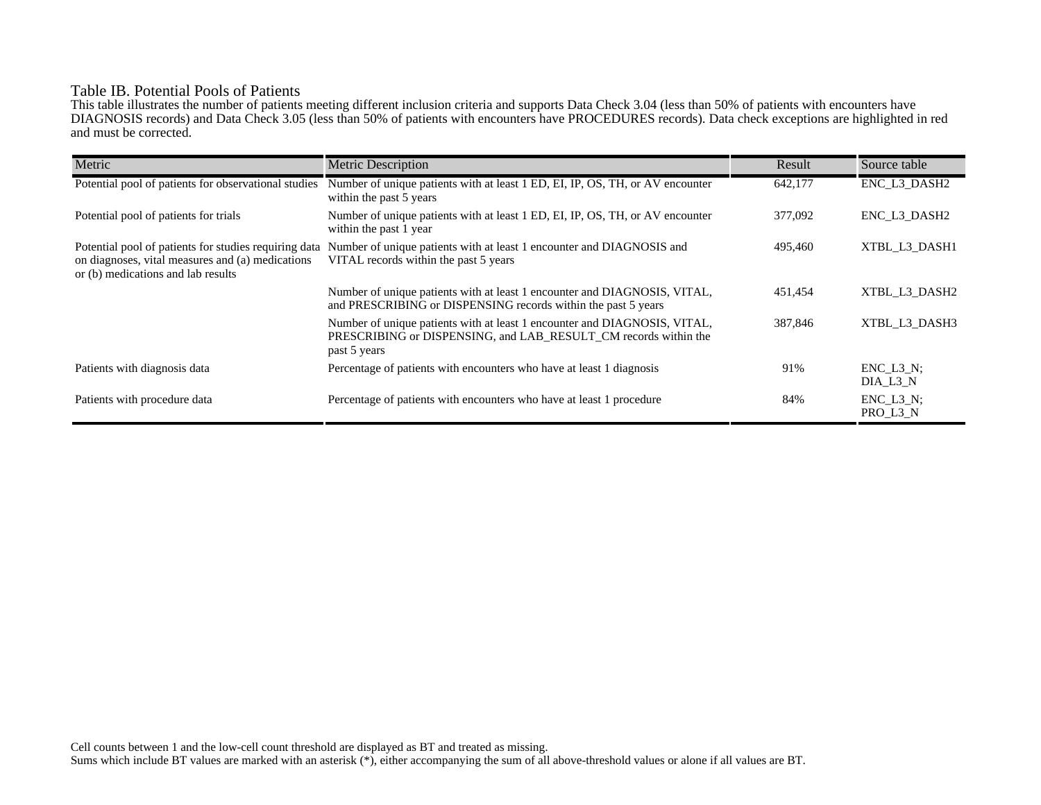## Table IB. Potential Pools of Patients

This table illustrates the number of patients meeting different inclusion criteria and supports Data Check 3.04 (less than 50% of patients with encounters have DIAGNOSIS records) and Data Check 3.05 (less than 50% of patients with encounters have PROCEDURES records). Data check exceptions are highlighted in red and must be corrected.

| Metric                                                                                                                                          | <b>Metric Description</b>                                                                                                                                    | Result  | Source table                 |
|-------------------------------------------------------------------------------------------------------------------------------------------------|--------------------------------------------------------------------------------------------------------------------------------------------------------------|---------|------------------------------|
| Potential pool of patients for observational studies                                                                                            | Number of unique patients with at least 1 ED, EI, IP, OS, TH, or AV encounter<br>within the past 5 years                                                     | 642,177 | ENC_L3_DASH2                 |
| Potential pool of patients for trials                                                                                                           | Number of unique patients with at least 1 ED, EI, IP, OS, TH, or AV encounter<br>within the past 1 year                                                      | 377,092 | ENC L3 DASH2                 |
| Potential pool of patients for studies requiring data<br>on diagnoses, vital measures and (a) medications<br>or (b) medications and lab results | Number of unique patients with at least 1 encounter and DIAGNOSIS and<br>VITAL records within the past 5 years                                               | 495,460 | XTBL L3 DASH1                |
|                                                                                                                                                 | Number of unique patients with at least 1 encounter and DIAGNOSIS, VITAL,<br>and PRESCRIBING or DISPENSING records within the past 5 years                   | 451,454 | XTBL L3 DASH2                |
|                                                                                                                                                 | Number of unique patients with at least 1 encounter and DIAGNOSIS, VITAL,<br>PRESCRIBING or DISPENSING, and LAB_RESULT_CM records within the<br>past 5 years | 387,846 | XTBL L3 DASH3                |
| Patients with diagnosis data                                                                                                                    | Percentage of patients with encounters who have at least 1 diagnosis                                                                                         | 91%     | $ENC$ $L3$ $N$ :<br>DIA L3 N |
| Patients with procedure data                                                                                                                    | Percentage of patients with encounters who have at least 1 procedure                                                                                         | 84%     | $ENC_L3_N;$<br>PRO_L3_N      |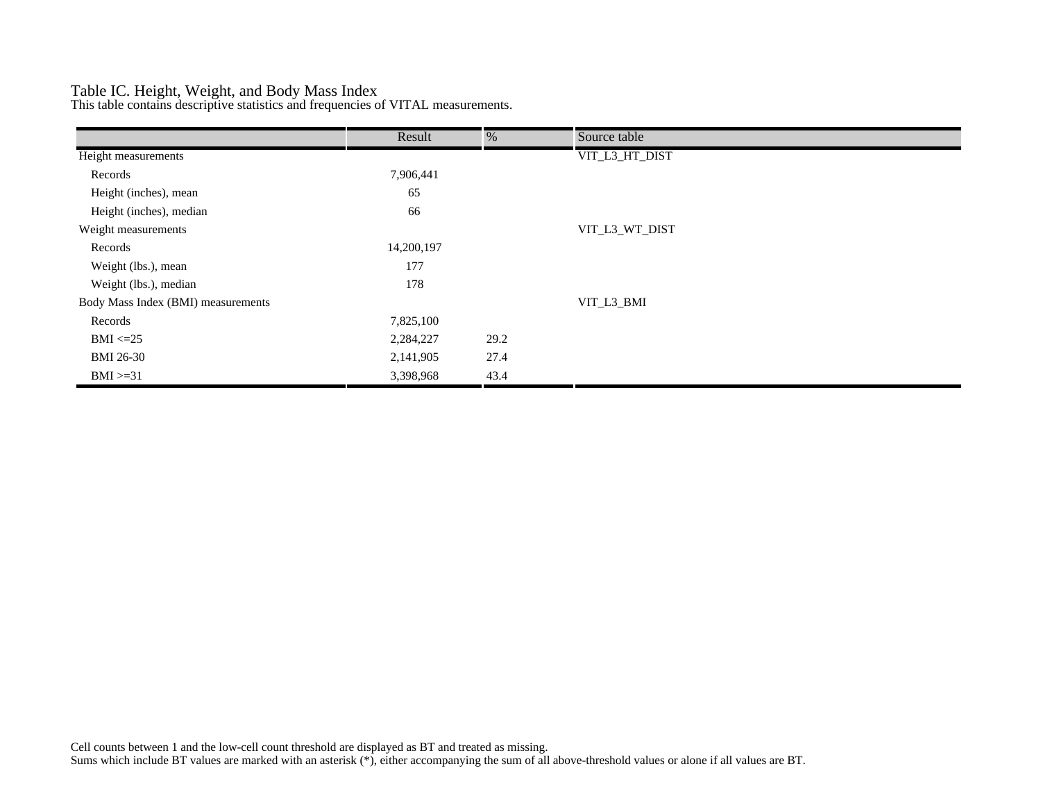## Table IC. Height, Weight, and Body Mass Index

This table contains descriptive statistics and frequencies of VITAL measurements.

|                                    | Result     | %    | Source table   |
|------------------------------------|------------|------|----------------|
| Height measurements                |            |      | VIT_L3_HT_DIST |
| Records                            | 7,906,441  |      |                |
| Height (inches), mean              | 65         |      |                |
| Height (inches), median            | 66         |      |                |
| Weight measurements                |            |      | VIT_L3_WT_DIST |
| Records                            | 14,200,197 |      |                |
| Weight (lbs.), mean                | 177        |      |                |
| Weight (lbs.), median              | 178        |      |                |
| Body Mass Index (BMI) measurements |            |      | VIT_L3_BMI     |
| Records                            | 7,825,100  |      |                |
| $BMI \leq=25$                      | 2,284,227  | 29.2 |                |
| <b>BMI 26-30</b>                   | 2,141,905  | 27.4 |                |
| $BMI > = 31$                       | 3,398,968  | 43.4 |                |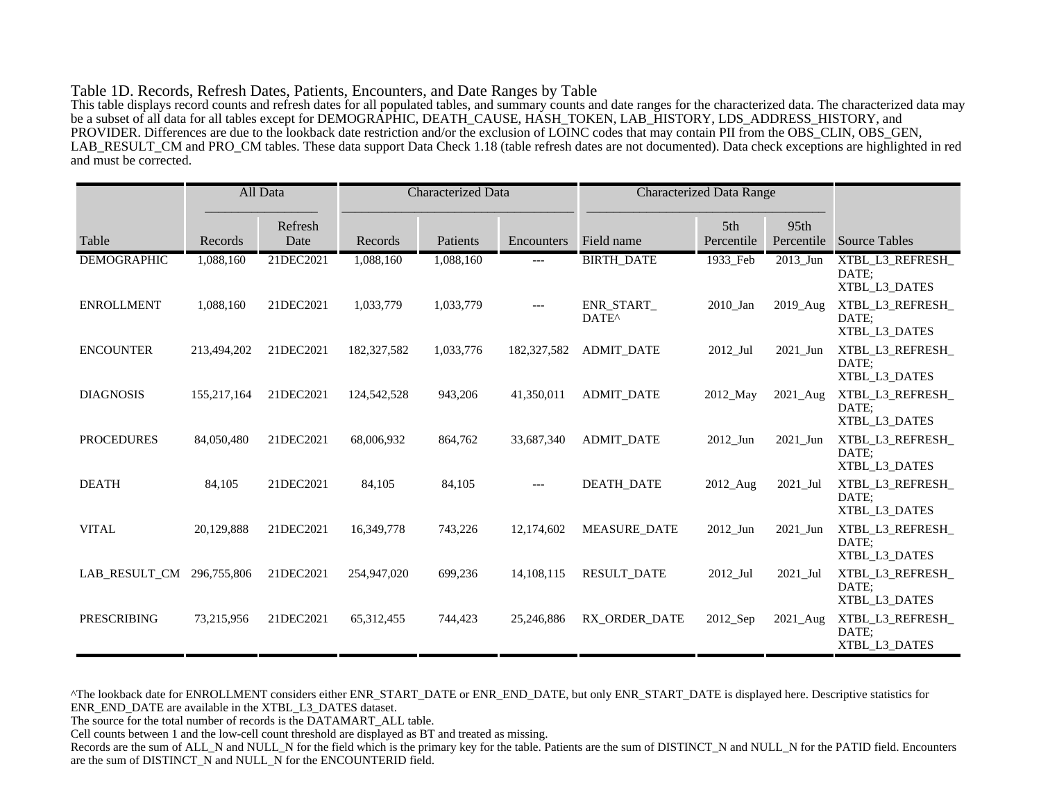#### Table 1D. Records, Refresh Dates, Patients, Encounters, and Date Ranges by Table

This table displays record counts and refresh dates for all populated tables, and summary counts and date ranges for the characterized data. The characterized data may be a subset of all data for all tables except for DEMOGRAPHIC, DEATH\_CAUSE, HASH\_TOKEN, LAB\_HISTORY, LDS\_ADDRESS\_HISTORY, and PROVIDER. Differences are due to the lookback date restriction and/or the exclusion of LOINC codes that may contain PII from the OBS\_CLIN, OBS\_GEN, LAB\_RESULT\_CM and PRO\_CM tables. These data support Data Check 1.18 (table refresh dates are not documented). Data check exceptions are highlighted in red and must be corrected.

|                    |             | All Data        | <b>Characterized Data</b> |           | <b>Characterized Data Range</b> |                                |                   |                                |                                            |
|--------------------|-------------|-----------------|---------------------------|-----------|---------------------------------|--------------------------------|-------------------|--------------------------------|--------------------------------------------|
| Table              | Records     | Refresh<br>Date | Records                   | Patients  | Encounters                      | Field name                     | 5th<br>Percentile | 95 <sub>th</sub><br>Percentile | <b>Source Tables</b>                       |
| <b>DEMOGRAPHIC</b> | 1,088,160   | 21DEC2021       | 1,088,160                 | 1,088,160 | ---                             | <b>BIRTH_DATE</b>              | 1933_Feb          | $2013$ _Jun                    | XTBL_L3_REFRESH_<br>DATE:<br>XTBL L3 DATES |
| <b>ENROLLMENT</b>  | 1,088,160   | 21DEC2021       | 1,033,779                 | 1,033,779 | $---$                           | ENR START<br>DATE <sup>^</sup> | 2010_Jan          | 2019_Aug                       | XTBL_L3_REFRESH_<br>DATE;<br>XTBL_L3_DATES |
| <b>ENCOUNTER</b>   | 213,494,202 | 21DEC2021       | 182,327,582               | 1,033,776 | 182,327,582                     | <b>ADMIT_DATE</b>              | $2012$ _Jul       | 2021_Jun                       | XTBL_L3_REFRESH_<br>DATE:<br>XTBL_L3_DATES |
| <b>DIAGNOSIS</b>   | 155,217,164 | 21DEC2021       | 124,542,528               | 943,206   | 41,350,011                      | <b>ADMIT DATE</b>              | 2012_May          | 2021_Aug                       | XTBL_L3_REFRESH_<br>DATE;<br>XTBL_L3_DATES |
| <b>PROCEDURES</b>  | 84,050,480  | 21DEC2021       | 68,006,932                | 864,762   | 33,687,340                      | <b>ADMIT DATE</b>              | 2012 Jun          | 2021 Jun                       | XTBL_L3_REFRESH_<br>DATE:<br>XTBL_L3_DATES |
| <b>DEATH</b>       | 84,105      | 21DEC2021       | 84,105                    | 84,105    | $---$                           | <b>DEATH DATE</b>              | 2012_Aug          | 2021_Jul                       | XTBL_L3_REFRESH_<br>DATE;<br>XTBL_L3_DATES |
| <b>VITAL</b>       | 20,129,888  | 21DEC2021       | 16,349,778                | 743,226   | 12,174,602                      | <b>MEASURE DATE</b>            | 2012_Jun          | 2021_Jun                       | XTBL_L3_REFRESH_<br>DATE:<br>XTBL_L3_DATES |
| LAB RESULT CM      | 296,755,806 | 21DEC2021       | 254,947,020               | 699,236   | 14, 108, 115                    | <b>RESULT DATE</b>             | $2012$ _Jul       | 2021_Jul                       | XTBL_L3_REFRESH_<br>DATE;<br>XTBL_L3_DATES |
| <b>PRESCRIBING</b> | 73,215,956  | 21DEC2021       | 65, 312, 455              | 744,423   | 25,246,886                      | RX ORDER DATE                  | 2012_Sep          | 2021_Aug                       | XTBL_L3_REFRESH_<br>DATE:<br>XTBL_L3_DATES |

^The lookback date for ENROLLMENT considers either ENR\_START\_DATE or ENR\_END\_DATE, but only ENR\_START\_DATE is displayed here. Descriptive statistics for ENR\_END\_DATE are available in the XTBL\_L3\_DATES dataset.

The source for the total number of records is the DATAMART\_ALL table.

Cell counts between 1 and the low-cell count threshold are displayed as BT and treated as missing.

Records are the sum of ALL\_N and NULL\_N for the field which is the primary key for the table. Patients are the sum of DISTINCT\_N and NULL\_N for the PATID field. Encounters are the sum of DISTINCT\_N and NULL\_N for the ENCOUNTERID field.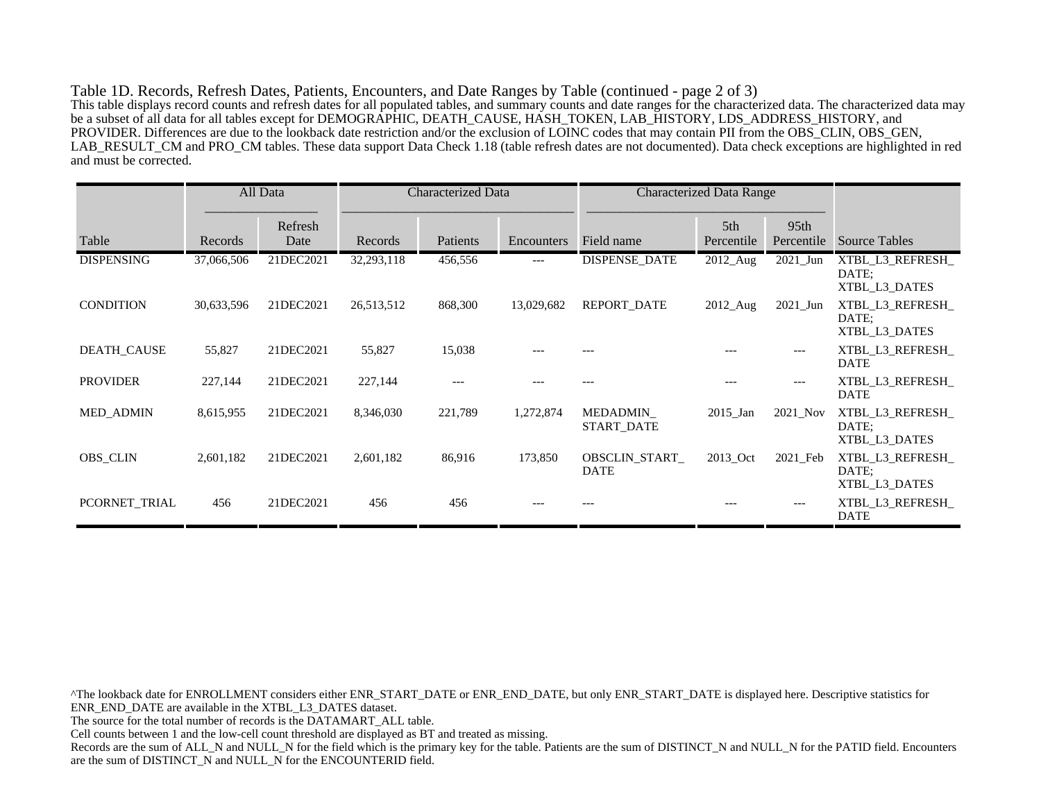Table 1D. Records, Refresh Dates, Patients, Encounters, and Date Ranges by Table (continued - page 2 of 3) This table displays record counts and refresh dates for all populated tables, and summary counts and date ranges for the characterized data. The characterized data may be a subset of all data for all tables except for DEMOGRAPHIC, DEATH\_CAUSE, HASH\_TOKEN, LAB\_HISTORY, LDS\_ADDRESS\_HISTORY, and PROVIDER. Differences are due to the lookback date restriction and/or the exclusion of LOINC codes that may contain PII from the OBS\_CLIN, OBS\_GEN, LAB\_RESULT\_CM and PRO\_CM tables. These data support Data Check 1.18 (table refresh dates are not documented). Data check exceptions are highlighted in red and must be corrected.

|                   |            | All Data        | <b>Characterized Data</b> |          |            | <b>Characterized Data Range</b>     |                   |                                |                                            |
|-------------------|------------|-----------------|---------------------------|----------|------------|-------------------------------------|-------------------|--------------------------------|--------------------------------------------|
| Table             | Records    | Refresh<br>Date | Records                   | Patients | Encounters | Field name                          | 5th<br>Percentile | 95 <sub>th</sub><br>Percentile | <b>Source Tables</b>                       |
| <b>DISPENSING</b> | 37,066,506 | 21DEC2021       | 32,293,118                | 456,556  | ---        | <b>DISPENSE_DATE</b>                | 2012_Aug          | $2021$ _Jun                    | XTBL_L3_REFRESH_<br>DATE:<br>XTBL_L3_DATES |
| <b>CONDITION</b>  | 30,633,596 | 21DEC2021       | 26,513,512                | 868,300  | 13,029,682 | REPORT_DATE                         | $2012$ Aug        | $2021$ _Jun                    | XTBL L3 REFRESH<br>DATE:<br>XTBL_L3_DATES  |
| DEATH_CAUSE       | 55,827     | 21DEC2021       | 55,827                    | 15,038   |            |                                     |                   | $---$                          | XTBL L3 REFRESH<br><b>DATE</b>             |
| <b>PROVIDER</b>   | 227,144    | 21DEC2021       | 227,144                   | ---      |            |                                     |                   | $---$                          | XTBL L3 REFRESH<br><b>DATE</b>             |
| <b>MED_ADMIN</b>  | 8,615,955  | 21DEC2021       | 8,346,030                 | 221,789  | 1,272,874  | MEDADMIN_<br><b>START DATE</b>      | $2015$ Jan        | 2021_Nov                       | XTBL_L3_REFRESH_<br>DATE:<br>XTBL_L3_DATES |
| <b>OBS_CLIN</b>   | 2,601,182  | 21DEC2021       | 2,601,182                 | 86,916   | 173,850    | <b>OBSCLIN START</b><br><b>DATE</b> | 2013 Oct          | 2021 Feb                       | XTBL L3 REFRESH<br>DATE:<br>XTBL_L3_DATES  |
| PCORNET TRIAL     | 456        | 21DEC2021       | 456                       | 456      |            |                                     |                   | $---$                          | XTBL_L3_REFRESH_<br><b>DATE</b>            |

^The lookback date for ENROLLMENT considers either ENR\_START\_DATE or ENR\_END\_DATE, but only ENR\_START\_DATE is displayed here. Descriptive statistics for ENR\_END\_DATE are available in the XTBL\_L3\_DATES dataset. The source for the total number of records is the DATAMART\_ALL table. Cell counts between 1 and the low-cell count threshold are displayed as BT and treated as missing. Records are the sum of ALL\_N and NULL\_N for the field which is the primary key for the table. Patients are the sum of DISTINCT\_N and NULL\_N for the PATID field. Encounters are the sum of DISTINCT\_N and NULL\_N for the ENCOUNTERID field.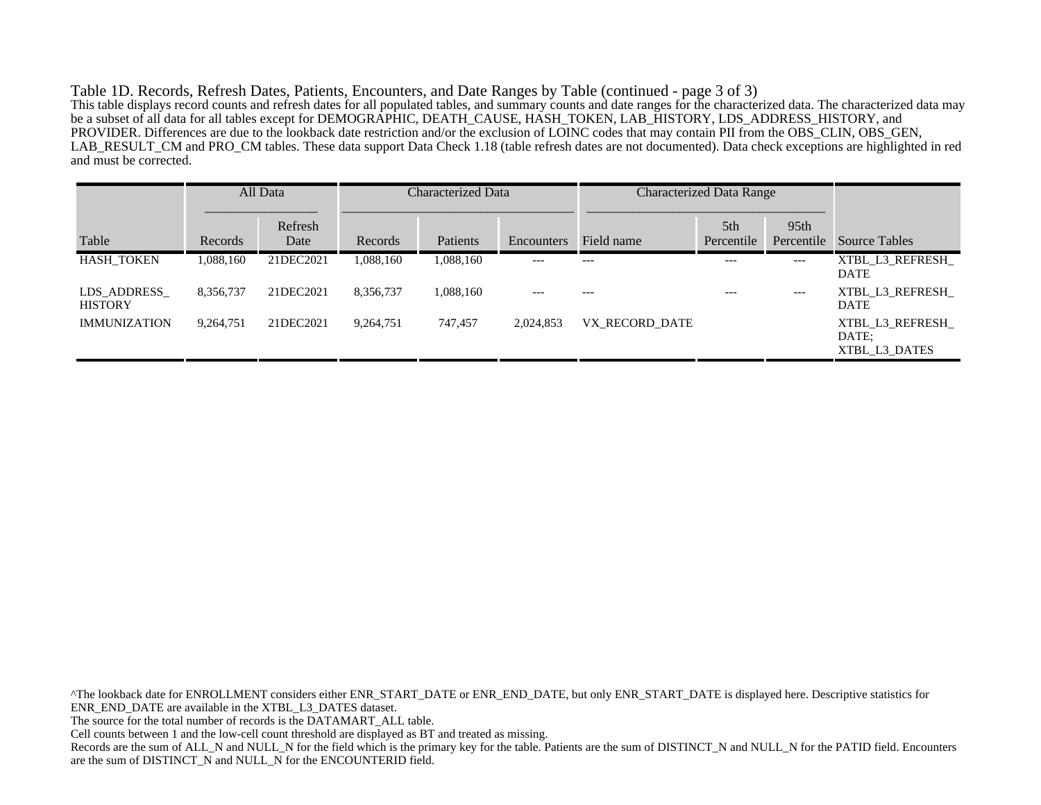Table 1D. Records, Refresh Dates, Patients, Encounters, and Date Ranges by Table (continued - page 3 of 3) This table displays record counts and refresh dates for all populated tables, and summary counts and date ranges for the characterized data. The characterized data may be a subset of all data for all tables except for DEMOGRAPHIC, DEATH\_CAUSE, HASH\_TOKEN, LAB\_HISTORY, LDS\_ADDRESS\_HISTORY, and PROVIDER. Differences are due to the lookback date restriction and/or the exclusion of LOINC codes that may contain PII from the OBS\_CLIN, OBS\_GEN, LAB\_RESULT\_CM and PRO\_CM tables. These data support Data Check 1.18 (table refresh dates are not documented). Data check exceptions are highlighted in red and must be corrected.

|                               |           | All Data        | Characterized Data |           | <b>Characterized Data Range</b> |                |                               |                                |                                           |
|-------------------------------|-----------|-----------------|--------------------|-----------|---------------------------------|----------------|-------------------------------|--------------------------------|-------------------------------------------|
| Table                         | Records   | Refresh<br>Date | Records            | Patients  | Encounters                      | Field name     | 5 <sup>th</sup><br>Percentile | 95 <sub>th</sub><br>Percentile | Source Tables                             |
| <b>HASH TOKEN</b>             | 1.088.160 | 21DEC2021       | 1,088,160          | 1,088,160 | $---$                           | $---$          | $---$                         | $---$                          | XTBL L3 REFRESH<br><b>DATE</b>            |
| LDS ADDRESS<br><b>HISTORY</b> | 8,356,737 | 21DEC2021       | 8,356,737          | 1,088,160 | ---                             |                | ---                           | $---$                          | XTBL L3 REFRESH<br><b>DATE</b>            |
| <b>IMMUNIZATION</b>           | 9,264,751 | 21DEC2021       | 9.264.751          | 747,457   | 2,024,853                       | VX RECORD DATE |                               |                                | XTBL L3 REFRESH<br>DATE:<br>XTBL L3 DATES |

^The lookback date for ENROLLMENT considers either ENR\_START\_DATE or ENR\_END\_DATE, but only ENR\_START\_DATE is displayed here. Descriptive statistics for ENR\_END\_DATE are available in the XTBL\_L3\_DATES dataset. The source for the total number of records is the DATAMART\_ALL table. Cell counts between 1 and the low-cell count threshold are displayed as BT and treated as missing. Records are the sum of ALL\_N and NULL\_N for the field which is the primary key for the table. Patients are the sum of DISTINCT\_N and NULL\_N for the PATID field. Encounters are the sum of DISTINCT\_N and NULL\_N for the ENCOUNTERID field.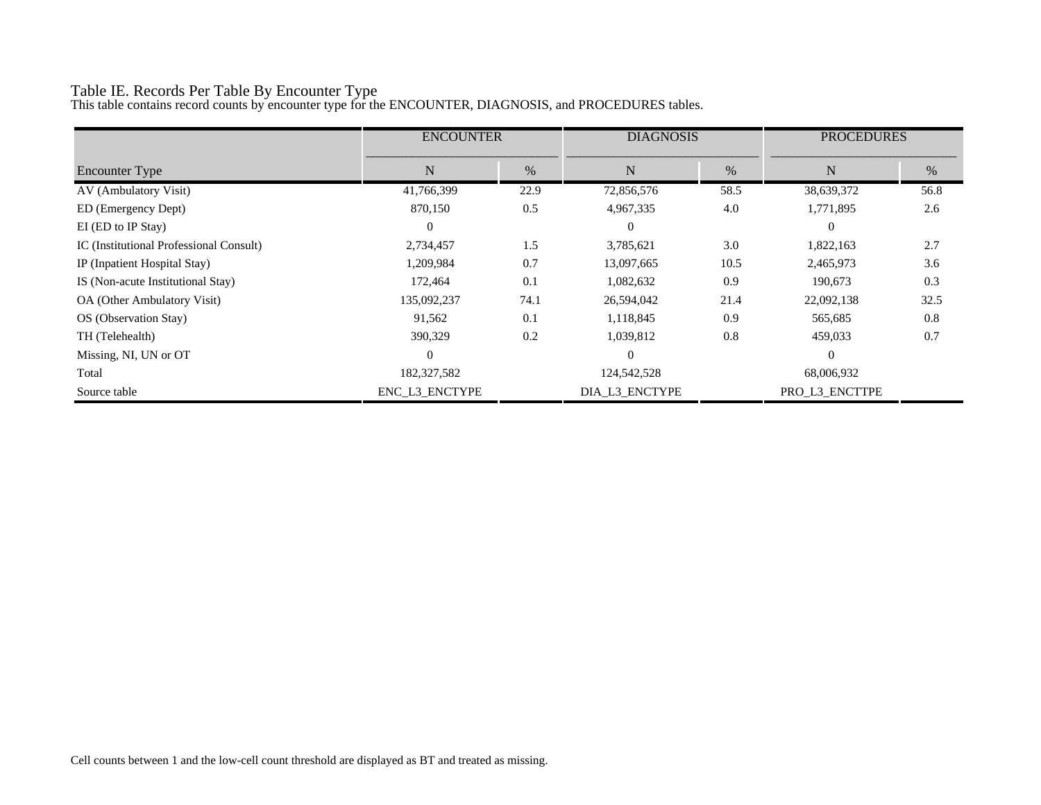# Table IE. Records Per Table By Encounter Type

This table contains record counts by encounter type for the ENCOUNTER, DIAGNOSIS, and PROCEDURES tables.

|                                         | <b>ENCOUNTER</b> |      | <b>DIAGNOSIS</b> |      | <b>PROCEDURES</b> |      |
|-----------------------------------------|------------------|------|------------------|------|-------------------|------|
| <b>Encounter Type</b>                   | N                | $\%$ | N                | %    | N                 | %    |
| AV (Ambulatory Visit)                   | 41,766,399       | 22.9 | 72,856,576       | 58.5 | 38,639,372        | 56.8 |
| ED (Emergency Dept)                     | 870,150          | 0.5  | 4,967,335        | 4.0  | 1,771,895         | 2.6  |
| EI (ED to IP Stay)                      | $\overline{0}$   |      | $\theta$         |      | $\theta$          |      |
| IC (Institutional Professional Consult) | 2,734,457        | 1.5  | 3,785,621        | 3.0  | 1,822,163         | 2.7  |
| IP (Inpatient Hospital Stay)            | 1,209,984        | 0.7  | 13,097,665       | 10.5 | 2,465,973         | 3.6  |
| IS (Non-acute Institutional Stay)       | 172,464          | 0.1  | 1,082,632        | 0.9  | 190,673           | 0.3  |
| OA (Other Ambulatory Visit)             | 135,092,237      | 74.1 | 26,594,042       | 21.4 | 22,092,138        | 32.5 |
| OS (Observation Stay)                   | 91,562           | 0.1  | 1,118,845        | 0.9  | 565,685           | 0.8  |
| TH (Telehealth)                         | 390,329          | 0.2  | 1,039,812        | 0.8  | 459,033           | 0.7  |
| Missing, NI, UN or OT                   | $\Omega$         |      | $\Omega$         |      | $\theta$          |      |
| Total                                   | 182,327,582      |      | 124,542,528      |      | 68,006,932        |      |
| Source table                            | ENC L3 ENCTYPE   |      | DIA_L3_ENCTYPE   |      | PRO L3 ENCTTPE    |      |